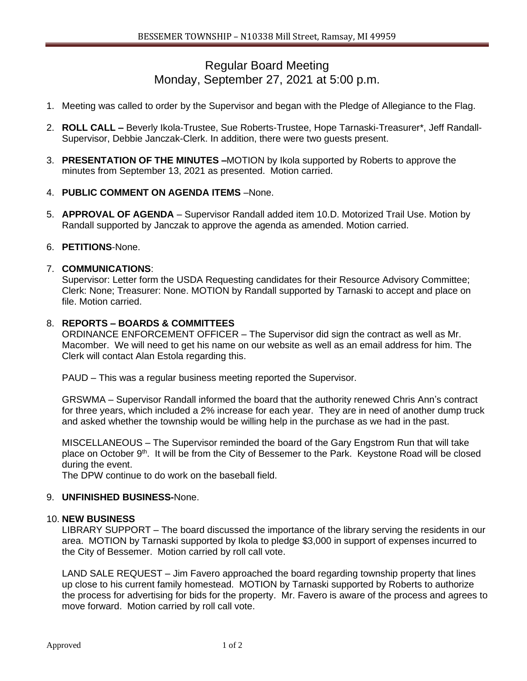# Regular Board Meeting Monday, September 27, 2021 at 5:00 p.m.

- 1. Meeting was called to order by the Supervisor and began with the Pledge of Allegiance to the Flag.
- 2. **ROLL CALL –** Beverly Ikola-Trustee, Sue Roberts-Trustee, Hope Tarnaski-Treasurer\*, Jeff Randall-Supervisor, Debbie Janczak-Clerk. In addition, there were two guests present.
- 3. **PRESENTATION OF THE MINUTES –**MOTION by Ikola supported by Roberts to approve the minutes from September 13, 2021 as presented. Motion carried.
- 4. **PUBLIC COMMENT ON AGENDA ITEMS** –None.
- 5. **APPROVAL OF AGENDA**  Supervisor Randall added item 10.D. Motorized Trail Use. Motion by Randall supported by Janczak to approve the agenda as amended. Motion carried.

### 6. **PETITIONS**-None.

#### 7. **COMMUNICATIONS**:

Supervisor: Letter form the USDA Requesting candidates for their Resource Advisory Committee; Clerk: None; Treasurer: None. MOTION by Randall supported by Tarnaski to accept and place on file. Motion carried.

## 8. **REPORTS – BOARDS & COMMITTEES**

ORDINANCE ENFORCEMENT OFFICER – The Supervisor did sign the contract as well as Mr. Macomber. We will need to get his name on our website as well as an email address for him. The Clerk will contact Alan Estola regarding this.

PAUD – This was a regular business meeting reported the Supervisor.

GRSWMA – Supervisor Randall informed the board that the authority renewed Chris Ann's contract for three years, which included a 2% increase for each year. They are in need of another dump truck and asked whether the township would be willing help in the purchase as we had in the past.

MISCELLANEOUS – The Supervisor reminded the board of the Gary Engstrom Run that will take place on October 9<sup>th</sup>. It will be from the City of Bessemer to the Park. Keystone Road will be closed during the event.

The DPW continue to do work on the baseball field.

## 9. **UNFINISHED BUSINESS-**None.

#### 10. **NEW BUSINESS**

LIBRARY SUPPORT – The board discussed the importance of the library serving the residents in our area. MOTION by Tarnaski supported by Ikola to pledge \$3,000 in support of expenses incurred to the City of Bessemer. Motion carried by roll call vote.

LAND SALE REQUEST – Jim Favero approached the board regarding township property that lines up close to his current family homestead. MOTION by Tarnaski supported by Roberts to authorize the process for advertising for bids for the property. Mr. Favero is aware of the process and agrees to move forward. Motion carried by roll call vote.